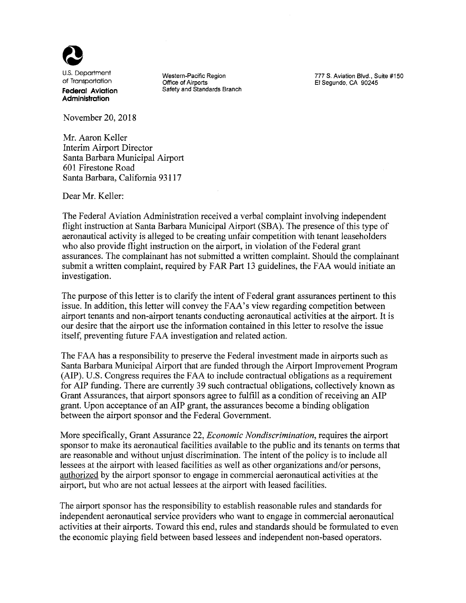

**Administration**

November 20, 2018

Mr. Aaron Keller Interim Airport Director Santa Barbara Municipal Airport 601 Firestone Road Santa Barbara, California 93117

Dear Mr. Keller:

The Federal Aviation Administration received a verbal complaint involving independent flight instruction at Santa Barbara Municipal Airport (SBA). The presence of this type of aeronautical activity is alleged to be creating unfair competition with tenant leaseholders who also provide flight instruction on the airport, in violation of the Federal grant assurances. The complainant has not submitted a written complaint. Should the complainant submit a written complaint, required by FAR Part 13 guidelines, the FAA would initiate an investigation.

The purpose of this letter is to clarify the intent of Federal grant assurances pertinent to this issue. In addition, this letter will convey the FAA's view regarding competition between airport tenants and non-airport tenants conducting aeronautical activities at the airport. It is our desire that the airport use the information contained in this letter to resolve the issue itself, preventing future FAA investigation and related action.

The FAA has a responsibility to preserve the Federal investment made in airports such as Santa Barbara Municipal Airport that are funded through the Airport Improvement Program (AIP). U.S. Congress requires the FAA to include contractual obligations as a requirement for AlP funding. There are currently 39 such contractual obligations, collectively known as Grant Assurances, that airport sponsors agree to fulfill as a condition of receiving an AIP grant. Upon acceptance of an AlP grant, the assurances become a binding obligation between the airport sponsor and the Federal Government.

More specifically, Grant Assurance 22, *Economic Nondiscrimination,* requires the airport sponsor to make its aeronautical facilities available to the public and its tenants on terms that are reasonable and without unjust discrimination. The intent of the policy is to include all lessees at the airport with leased facilities as well as other organizations and/or persons, authorized by the airport sponsor to engage in commercial aeronautical activities at the airport, but who are not actual lessees at the airport with leased facilities.

The airport sponsor has the responsibility to establish reasonable rules and standards for independent aeronautical service providers who want to engage in commercial aeronautical activities at their airports. Toward this end, rules and standards should be formulated to even the economic playing field between based lessees and independent non-based operators.

**Federal Aviation** Safety and Standards Branch

U.S. Department **Western-Pacific Region**<br>
Of Transportation **Matter of Altack Contract Contract Contract Contract Contract Contract Contract Contract Cont**<br>
El Segundo, CA 90245 El Segundo, CA 90245